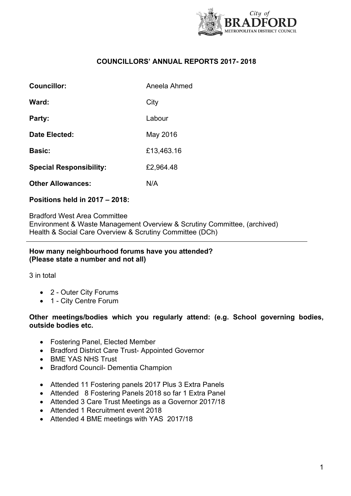

## **COUNCILLORS' ANNUAL REPORTS 2017- 2018**

| Councillor:                    | Aneela Ahmed |
|--------------------------------|--------------|
| Ward:                          | City         |
| Party:                         | Labour       |
| Date Elected:                  | May 2016     |
| <b>Basic:</b>                  | £13,463.16   |
| <b>Special Responsibility:</b> | £2,964.48    |
| <b>Other Allowances:</b>       | N/A          |

## **Positions held in 2017 – 2018:**

Bradford West Area Committee Environment & Waste Management Overview & Scrutiny Committee, (archived) Health & Social Care Overview & Scrutiny Committee (DCh)

#### **How many neighbourhood forums have you attended? (Please state a number and not all)**

3 in total

- 2 Outer City Forums
- 1 City Centre Forum

#### **Other meetings/bodies which you regularly attend: (e.g. School governing bodies, outside bodies etc.**

- Fostering Panel, Elected Member
- Bradford District Care Trust- Appointed Governor
- BMF YAS NHS Trust
- Bradford Council- Dementia Champion
- Attended 11 Fostering panels 2017 Plus 3 Extra Panels
- Attended 8 Fostering Panels 2018 so far 1 Extra Panel
- Attended 3 Care Trust Meetings as a Governor 2017/18
- Attended 1 Recruitment event 2018
- Attended 4 BME meetings with YAS 2017/18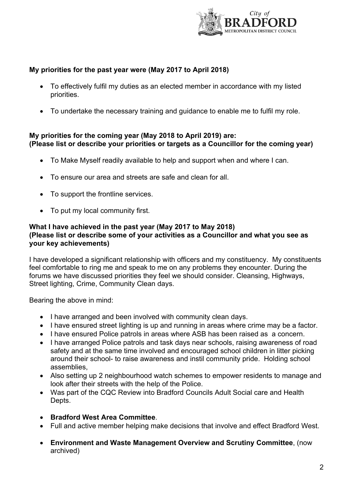

# **My priorities for the past year were (May 2017 to April 2018)**

- To effectively fulfil my duties as an elected member in accordance with my listed priorities.
- To undertake the necessary training and guidance to enable me to fulfil my role.

### **My priorities for the coming year (May 2018 to April 2019) are: (Please list or describe your priorities or targets as a Councillor for the coming year)**

- To Make Myself readily available to help and support when and where I can.
- To ensure our area and streets are safe and clean for all.
- To support the frontline services.
- To put my local community first.

### **What I have achieved in the past year (May 2017 to May 2018) (Please list or describe some of your activities as a Councillor and what you see as your key achievements)**

I have developed a significant relationship with officers and my constituency. My constituents feel comfortable to ring me and speak to me on any problems they encounter. During the forums we have discussed priorities they feel we should consider. Cleansing, Highways, Street lighting, Crime, Community Clean days.

Bearing the above in mind:

- I have arranged and been involved with community clean days.
- I have ensured street lighting is up and running in areas where crime may be a factor.
- I have ensured Police patrols in areas where ASB has been raised as a concern.
- I have arranged Police patrols and task days near schools, raising awareness of road safety and at the same time involved and encouraged school children in litter picking around their school- to raise awareness and instil community pride. Holding school assemblies,
- Also setting up 2 neighbourhood watch schemes to empower residents to manage and look after their streets with the help of the Police.
- Was part of the CQC Review into Bradford Councils Adult Social care and Health Depts.
- **Bradford West Area Committee**.
- Full and active member helping make decisions that involve and effect Bradford West.
- **Environment and Waste Management Overview and Scrutiny Committee**, (now archived)